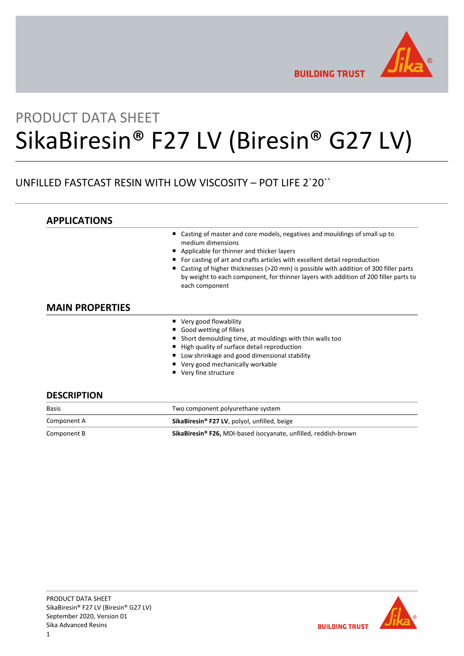

**BUILDING TRUST** 

# PRODUCT DATA SHEET SikaBiresin® F27 LV (Biresin® G27 LV)

# UNFILLED FASTCAST RESIN WITH LOW VISCOSITY – POT LIFE 2`20``

| <b>APPLICATIONS</b>    |                                                                                                                                                                                                |
|------------------------|------------------------------------------------------------------------------------------------------------------------------------------------------------------------------------------------|
|                        | Casting of master and core models, negatives and mouldings of small up to<br>medium dimensions                                                                                                 |
|                        | Applicable for thinner and thicker layers<br>ш                                                                                                                                                 |
|                        | For casting of art and crafts articles with excellent detail reproduction                                                                                                                      |
|                        | Casting of higher thicknesses (>20 mm) is possible with addition of 300 filler parts<br>by weight to each component, for thinner layers with addition of 200 filler parts to<br>each component |
| <b>MAIN PROPERTIES</b> |                                                                                                                                                                                                |
|                        | ■ Very good flowability                                                                                                                                                                        |
|                        | ■ Good wetting of fillers                                                                                                                                                                      |
|                        | Short demoulding time, at mouldings with thin walls too                                                                                                                                        |
|                        | High quality of surface detail reproduction                                                                                                                                                    |
|                        | Low shrinkage and good dimensional stability                                                                                                                                                   |
|                        | ■ Very good mechanically workable                                                                                                                                                              |

- Very good mechanically workable
- Very fine structure

## **DESCRIPTION**

| <b>Basis</b> | Two component polyurethane system                                           |  |
|--------------|-----------------------------------------------------------------------------|--|
| Component A  | SikaBiresin <sup>®</sup> F27 LV, polyol, unfilled, beige                    |  |
| Component B  | SikaBiresin <sup>®</sup> F26, MDI-based isocyanate, unfilled, reddish-brown |  |



**BUILDING TRUST**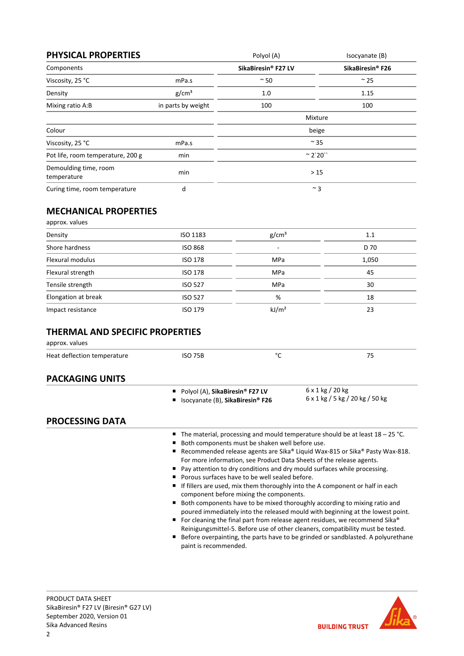| <b>PHYSICAL PROPERTIES</b>           |                    | Polyol (A)          | Isocyanate (B)               |
|--------------------------------------|--------------------|---------------------|------------------------------|
| Components                           |                    | SikaBiresin® F27 LV | SikaBiresin <sup>®</sup> F26 |
| Viscosity, 25 °C                     | mPa.s              | $~\sim$ 50          | $\sim$ 25                    |
| Density                              | g/cm <sup>3</sup>  | 1.0                 | 1.15                         |
| Mixing ratio A:B                     | in parts by weight | 100                 | 100                          |
|                                      |                    | Mixture             |                              |
| Colour                               |                    | beige               |                              |
| Viscosity, 25 °C                     | mPa.s              | $\sim$ 35           |                              |
| Pot life, room temperature, 200 g    | min                | $^{\sim}$ 2`20``    |                              |
| Demoulding time, room<br>temperature | min                | >15                 |                              |
| Curing time, room temperature        | d                  | $~^{\sim}$ 3        |                              |

# **MECHANICAL PROPERTIES**

| approx. values      |                |                   |       |
|---------------------|----------------|-------------------|-------|
| Density             | ISO 1183       | g/cm <sup>3</sup> | 1.1   |
| Shore hardness      | <b>ISO 868</b> | ۰                 | D 70  |
| Flexural modulus    | <b>ISO 178</b> | <b>MPa</b>        | 1,050 |
| Flexural strength   | <b>ISO 178</b> | <b>MPa</b>        | 45    |
| Tensile strength    | <b>ISO 527</b> | MPa               | 30    |
| Elongation at break | <b>ISO 527</b> | %                 | 18    |
| Impact resistance   | <b>ISO 179</b> | kJ/m <sup>2</sup> | 23    |

# **THERMAL AND SPECIFIC PROPERTIES**

approx. values

| Heat deflection temperature | <b>ISO 75B</b>                                                      | °C                                                                                                                                                                                                                                                                                                                                                                                                                                                                                                                                                                                                                                                                                                                                                                                                                                                                                                                                                                       | 75                                                         |
|-----------------------------|---------------------------------------------------------------------|--------------------------------------------------------------------------------------------------------------------------------------------------------------------------------------------------------------------------------------------------------------------------------------------------------------------------------------------------------------------------------------------------------------------------------------------------------------------------------------------------------------------------------------------------------------------------------------------------------------------------------------------------------------------------------------------------------------------------------------------------------------------------------------------------------------------------------------------------------------------------------------------------------------------------------------------------------------------------|------------------------------------------------------------|
| <b>PACKAGING UNITS</b>      |                                                                     |                                                                                                                                                                                                                                                                                                                                                                                                                                                                                                                                                                                                                                                                                                                                                                                                                                                                                                                                                                          |                                                            |
|                             | Polyol (A), SikaBiresin® F27 LV<br>Isocyanate (B), SikaBiresin® F26 |                                                                                                                                                                                                                                                                                                                                                                                                                                                                                                                                                                                                                                                                                                                                                                                                                                                                                                                                                                          | $6 \times 1$ kg / 20 kg<br>6 x 1 kg / 5 kg / 20 kg / 50 kg |
| <b>PROCESSING DATA</b>      |                                                                     |                                                                                                                                                                                                                                                                                                                                                                                                                                                                                                                                                                                                                                                                                                                                                                                                                                                                                                                                                                          |                                                            |
|                             | п<br>п<br>paint is recommended.                                     | The material, processing and mould temperature should be at least $18 - 25$ °C.<br>Both components must be shaken well before use.<br>Recommended release agents are Sika® Liquid Wax-815 or Sika® Pasty Wax-818.<br>For more information, see Product Data Sheets of the release agents.<br>Pay attention to dry conditions and dry mould surfaces while processing.<br>Porous surfaces have to be well sealed before.<br>If fillers are used, mix them thoroughly into the A component or half in each<br>component before mixing the components.<br>Both components have to be mixed thoroughly according to mixing ratio and<br>poured immediately into the released mould with beginning at the lowest point.<br>For cleaning the final part from release agent residues, we recommend Sika®<br>Reinigungsmittel-5. Before use of other cleaners, compatibility must be tested.<br>Before overpainting, the parts have to be grinded or sandblasted. A polyurethane |                                                            |

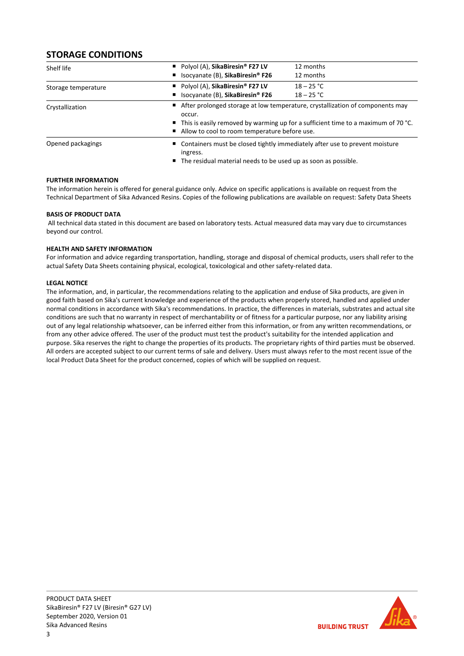# **STORAGE CONDITIONS**

| Shelf life          | Polyol (A), SikaBiresin <sup>®</sup> F27 LV    | 12 months                                                                                                                                                                                                               |  |  |
|---------------------|------------------------------------------------|-------------------------------------------------------------------------------------------------------------------------------------------------------------------------------------------------------------------------|--|--|
|                     | ■ Isocyanate (B), SikaBiresin <sup>®</sup> F26 | 12 months                                                                                                                                                                                                               |  |  |
| Storage temperature | Polyol (A), SikaBiresin <sup>®</sup> F27 LV    | $18 - 25 °C$                                                                                                                                                                                                            |  |  |
|                     | ■ Isocyanate (B), SikaBiresin® F26             | $18 - 25 °C$                                                                                                                                                                                                            |  |  |
| Crystallization     | occur.                                         | ■ After prolonged storage at low temperature, crystallization of components may<br>■ This is easily removed by warming up for a sufficient time to a maximum of 70 °C.<br>Allow to cool to room temperature before use. |  |  |
| Opened packagings   | ingress.                                       | ■ Containers must be closed tightly immediately after use to prevent moisture<br>■ The residual material needs to be used up as soon as possible.                                                                       |  |  |

## **FURTHER INFORMATION**

The information herein is offered for general guidance only. Advice on specific applications is available on request from the Technical Department of Sika Advanced Resins. Copies of the following publications are available on request: Safety Data Sheets

## **BASIS OF PRODUCT DATA**

All technical data stated in this document are based on laboratory tests. Actual measured data may vary due to circumstances beyond our control.

## **HEALTH AND SAFETY INFORMATION**

For information and advice regarding transportation, handling, storage and disposal of chemical products, users shall refer to the actual Safety Data Sheets containing physical, ecological, toxicological and other safety‐related data.

## **LEGAL NOTICE**

The information, and, in particular, the recommendations relating to the application and enduse of Sika products, are given in good faith based on Sika's current knowledge and experience of the products when properly stored, handled and applied under normal conditions in accordance with Sika's recommendations. In practice, the differences in materials, substrates and actual site conditions are such that no warranty in respect of merchantability or of fitness for a particular purpose, nor any liability arising out of any legal relationship whatsoever, can be inferred either from this information, or from any written recommendations, or from any other advice offered. The user of the product must test the product's suitability for the intended application and purpose. Sika reserves the right to change the properties of its products. The proprietary rights of third parties must be observed. All orders are accepted subject to our current terms of sale and delivery. Users must always refer to the most recent issue of the local Product Data Sheet for the product concerned, copies of which will be supplied on request.